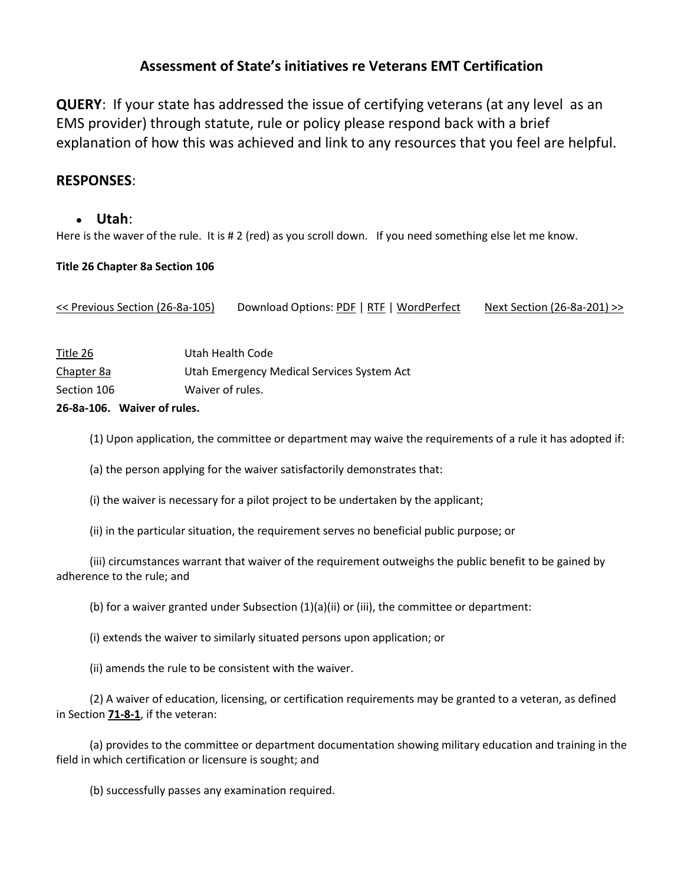# **Assessment of State's initiatives re Veterans EMT Certification**

**QUERY**: If your state has addressed the issue of certifying veterans (at any level as an EMS provider) through statute, rule or policy please respond back with a brief explanation of how this was achieved and link to any resources that you feel are helpful.

## **RESPONSES**:

#### **Utah**:

Here is the waver of the rule. It is # 2 (red) as you scroll down. If you need something else let me know.

#### **Title 26 Chapter 8a Section 106**

[<< Previous Section \(26-8a-105\)](http://www.le.utah.gov/code/TITLE26/htm/26_08a010500.htm) Download Options: [PDF](http://www.le.utah.gov/code/TITLE26/pdf/26_08a010600.pdf) [| RTF](http://www.le.utah.gov/code/TITLE26/rtf/26_08a010600.rtf) | [WordPerfect](http://www.le.utah.gov/code/TITLE26/wpd/26_08a010600.wpd) [Next Section \(26-8a-201\) >>](http://www.le.utah.gov/code/TITLE26/htm/26_08a020100.htm)

|             | 26-82-106 Mouraint of rules                |  |
|-------------|--------------------------------------------|--|
| Section 106 | Waiver of rules.                           |  |
| Chapter 8a  | Utah Emergency Medical Services System Act |  |
| Title 26    | Utah Health Code                           |  |

#### **26-8a-106. Waiver of rules.**

(1) Upon application, the committee or department may waive the requirements of a rule it has adopted if:

(a) the person applying for the waiver satisfactorily demonstrates that:

(i) the waiver is necessary for a pilot project to be undertaken by the applicant;

(ii) in the particular situation, the requirement serves no beneficial public purpose; or

 (iii) circumstances warrant that waiver of the requirement outweighs the public benefit to be gained by adherence to the rule; and

(b) for a waiver granted under Subsection (1)(a)(ii) or (iii), the committee or department:

(i) extends the waiver to similarly situated persons upon application; or

(ii) amends the rule to be consistent with the waiver.

 (2) A waiver of education, licensing, or certification requirements may be granted to a veteran, as defined in Section **[71-8-1](http://www.le.utah.gov/code/TITLE26/htm/71_08_000100.htm)**, if the veteran:

 (a) provides to the committee or department documentation showing military education and training in the field in which certification or licensure is sought; and

(b) successfully passes any examination required.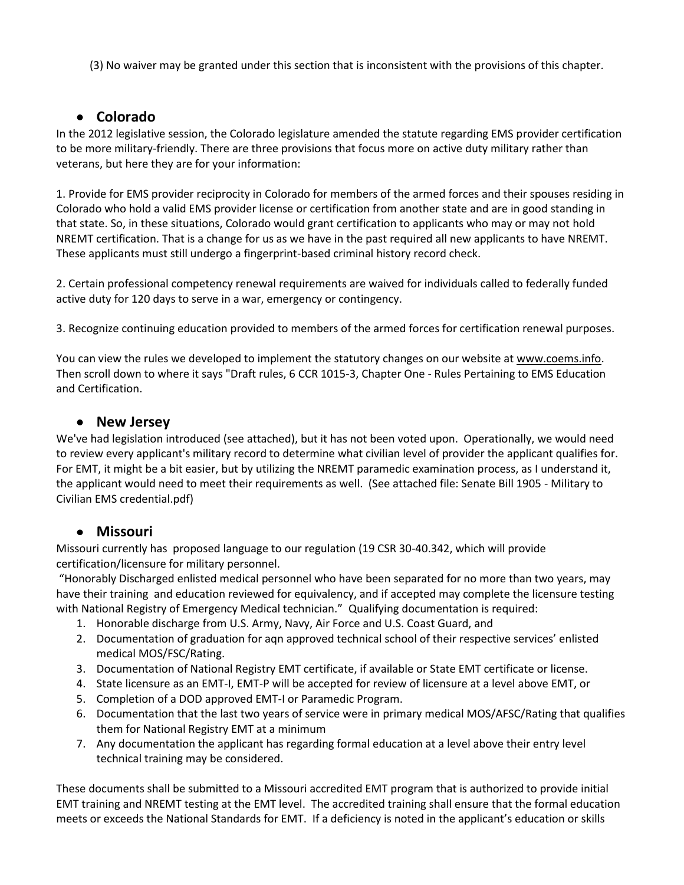(3) No waiver may be granted under this section that is inconsistent with the provisions of this chapter.

# **Colorado**

In the 2012 legislative session, the Colorado legislature amended the statute regarding EMS provider certification to be more military-friendly. There are three provisions that focus more on active duty military rather than veterans, but here they are for your information:

1. Provide for EMS provider reciprocity in Colorado for members of the armed forces and their spouses residing in Colorado who hold a valid EMS provider license or certification from another state and are in good standing in that state. So, in these situations, Colorado would grant certification to applicants who may or may not hold NREMT certification. That is a change for us as we have in the past required all new applicants to have NREMT. These applicants must still undergo a fingerprint-based criminal history record check.

2. Certain professional competency renewal requirements are waived for individuals called to federally funded active duty for 120 days to serve in a war, emergency or contingency.

3. Recognize continuing education provided to members of the armed forces for certification renewal purposes.

You can view the rules we developed to implement the statutory changes on our website a[t www.coems.info.](http://www.coems.info/) Then scroll down to where it says "Draft rules, 6 CCR 1015-3, Chapter One - Rules Pertaining to EMS Education and Certification.

## **New Jersey**

We've had legislation introduced (see attached), but it has not been voted upon. Operationally, we would need to review every applicant's military record to determine what civilian level of provider the applicant qualifies for. For EMT, it might be a bit easier, but by utilizing the NREMT paramedic examination process, as I understand it, the applicant would need to meet their requirements as well. (See attached file: Senate Bill 1905 - Military to Civilian EMS credential.pdf)

## **Missouri**

Missouri currently has proposed language to our regulation (19 CSR 30-40.342, which will provide certification/licensure for military personnel.

"Honorably Discharged enlisted medical personnel who have been separated for no more than two years, may have their training and education reviewed for equivalency, and if accepted may complete the licensure testing with National Registry of Emergency Medical technician." Qualifying documentation is required:

- 1. Honorable discharge from U.S. Army, Navy, Air Force and U.S. Coast Guard, and
- 2. Documentation of graduation for aqn approved technical school of their respective services' enlisted medical MOS/FSC/Rating.
- 3. Documentation of National Registry EMT certificate, if available or State EMT certificate or license.
- 4. State licensure as an EMT-I, EMT-P will be accepted for review of licensure at a level above EMT, or
- 5. Completion of a DOD approved EMT-I or Paramedic Program.
- 6. Documentation that the last two years of service were in primary medical MOS/AFSC/Rating that qualifies them for National Registry EMT at a minimum
- 7. Any documentation the applicant has regarding formal education at a level above their entry level technical training may be considered.

These documents shall be submitted to a Missouri accredited EMT program that is authorized to provide initial EMT training and NREMT testing at the EMT level. The accredited training shall ensure that the formal education meets or exceeds the National Standards for EMT. If a deficiency is noted in the applicant's education or skills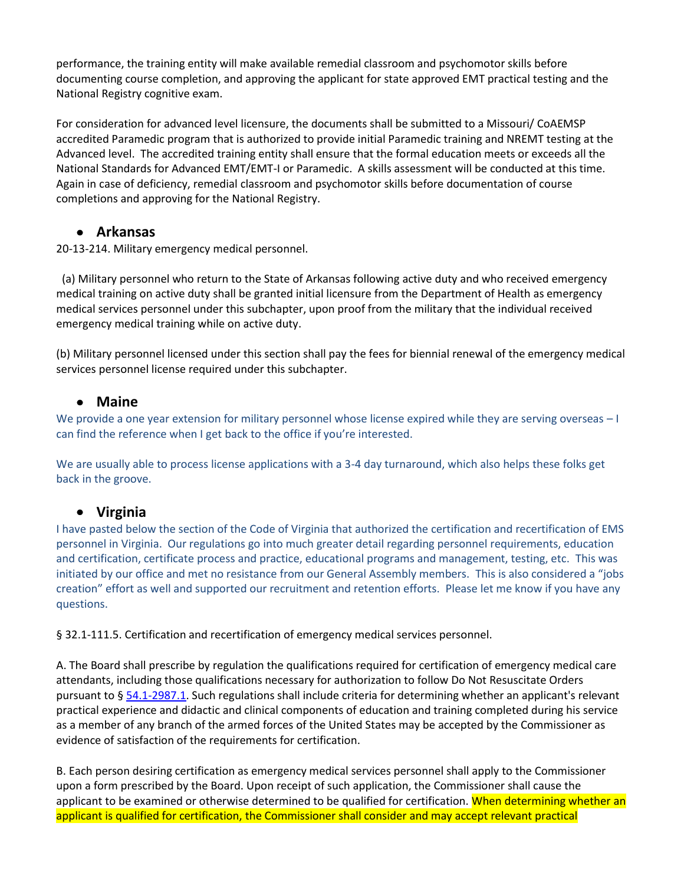performance, the training entity will make available remedial classroom and psychomotor skills before documenting course completion, and approving the applicant for state approved EMT practical testing and the National Registry cognitive exam.

For consideration for advanced level licensure, the documents shall be submitted to a Missouri/ CoAEMSP accredited Paramedic program that is authorized to provide initial Paramedic training and NREMT testing at the Advanced level. The accredited training entity shall ensure that the formal education meets or exceeds all the National Standards for Advanced EMT/EMT-I or Paramedic. A skills assessment will be conducted at this time. Again in case of deficiency, remedial classroom and psychomotor skills before documentation of course completions and approving for the National Registry.

## **Arkansas**

20-13-214. Military emergency medical personnel.

 (a) Military personnel who return to the State of Arkansas following active duty and who received emergency medical training on active duty shall be granted initial licensure from the Department of Health as emergency medical services personnel under this subchapter, upon proof from the military that the individual received emergency medical training while on active duty.

(b) Military personnel licensed under this section shall pay the fees for biennial renewal of the emergency medical services personnel license required under this subchapter.

## **Maine**

We provide a one year extension for military personnel whose license expired while they are serving overseas – I can find the reference when I get back to the office if you're interested.

We are usually able to process license applications with a 3-4 day turnaround, which also helps these folks get back in the groove.

## **Virginia**

I have pasted below the section of the Code of Virginia that authorized the certification and recertification of EMS personnel in Virginia. Our regulations go into much greater detail regarding personnel requirements, education and certification, certificate process and practice, educational programs and management, testing, etc. This was initiated by our office and met no resistance from our General Assembly members. This is also considered a "jobs creation" effort as well and supported our recruitment and retention efforts. Please let me know if you have any questions.

§ 32.1-111.5. Certification and recertification of emergency medical services personnel.

A. The Board shall prescribe by regulation the qualifications required for certification of emergency medical care attendants, including those qualifications necessary for authorization to follow Do Not Resuscitate Orders pursuant to § [54.1-2987.1.](http://leg1.state.va.us/cgi-bin/legp504.exe?000+cod+54.1-2987.1) Such regulations shall include criteria for determining whether an applicant's relevant practical experience and didactic and clinical components of education and training completed during his service as a member of any branch of the armed forces of the United States may be accepted by the Commissioner as evidence of satisfaction of the requirements for certification.

B. Each person desiring certification as emergency medical services personnel shall apply to the Commissioner upon a form prescribed by the Board. Upon receipt of such application, the Commissioner shall cause the applicant to be examined or otherwise determined to be qualified for certification. When determining whether an applicant is qualified for certification, the Commissioner shall consider and may accept relevant practical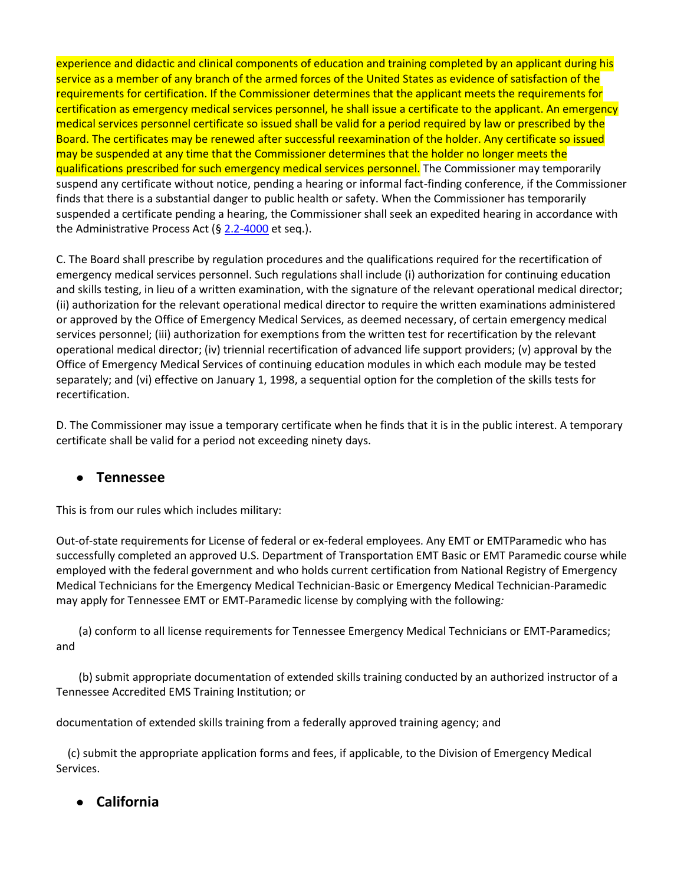experience and didactic and clinical components of education and training completed by an applicant during his service as a member of any branch of the armed forces of the United States as evidence of satisfaction of the requirements for certification. If the Commissioner determines that the applicant meets the requirements for certification as emergency medical services personnel, he shall issue a certificate to the applicant. An emergency medical services personnel certificate so issued shall be valid for a period required by law or prescribed by the Board. The certificates may be renewed after successful reexamination of the holder. Any certificate so issued may be suspended at any time that the Commissioner determines that the holder no longer meets the qualifications prescribed for such emergency medical services personnel. The Commissioner may temporarily suspend any certificate without notice, pending a hearing or informal fact-finding conference, if the Commissioner finds that there is a substantial danger to public health or safety. When the Commissioner has temporarily suspended a certificate pending a hearing, the Commissioner shall seek an expedited hearing in accordance with the Administrative Process Act ( $\S$  [2.2-4000](http://leg1.state.va.us/cgi-bin/legp504.exe?000+cod+2.2-4000) et seq.).

C. The Board shall prescribe by regulation procedures and the qualifications required for the recertification of emergency medical services personnel. Such regulations shall include (i) authorization for continuing education and skills testing, in lieu of a written examination, with the signature of the relevant operational medical director; (ii) authorization for the relevant operational medical director to require the written examinations administered or approved by the Office of Emergency Medical Services, as deemed necessary, of certain emergency medical services personnel; (iii) authorization for exemptions from the written test for recertification by the relevant operational medical director; (iv) triennial recertification of advanced life support providers; (v) approval by the Office of Emergency Medical Services of continuing education modules in which each module may be tested separately; and (vi) effective on January 1, 1998, a sequential option for the completion of the skills tests for recertification.

D. The Commissioner may issue a temporary certificate when he finds that it is in the public interest. A temporary certificate shall be valid for a period not exceeding ninety days.

# **Tennessee**

This is from our rules which includes military:

Out-of-state requirements for License of federal or ex-federal employees. Any EMT or EMTParamedic who has successfully completed an approved U.S. Department of Transportation EMT Basic or EMT Paramedic course while employed with the federal government and who holds current certification from National Registry of Emergency Medical Technicians for the Emergency Medical Technician-Basic or Emergency Medical Technician-Paramedic may apply for Tennessee EMT or EMT-Paramedic license by complying with the following*:*

 (a) conform to all license requirements for Tennessee Emergency Medical Technicians or EMT-Paramedics; and

 (b) submit appropriate documentation of extended skills training conducted by an authorized instructor of a Tennessee Accredited EMS Training Institution; or

documentation of extended skills training from a federally approved training agency; and

 (c) submit the appropriate application forms and fees, if applicable, to the Division of Emergency Medical Services.

**California**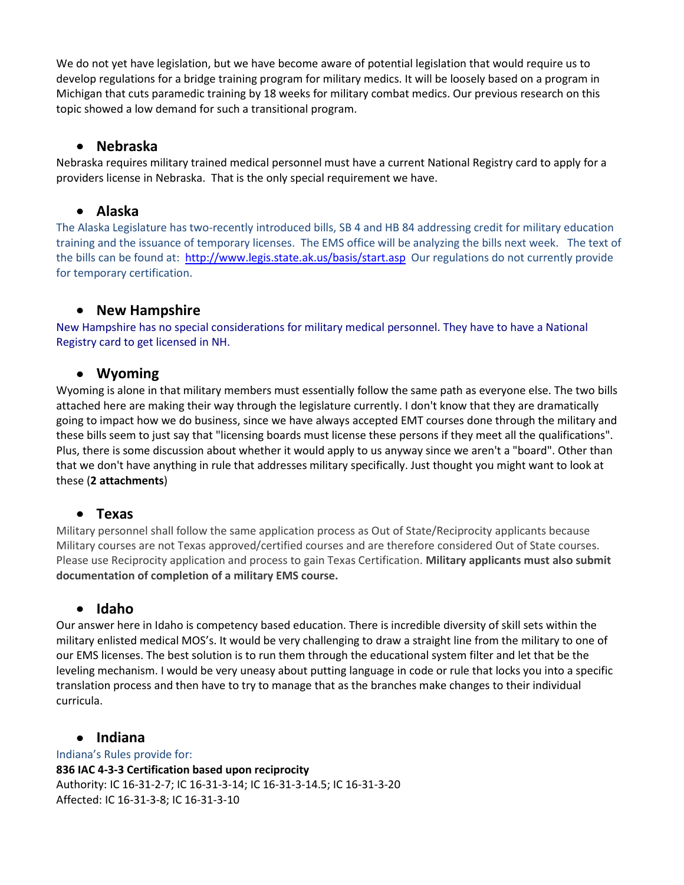We do not yet have legislation, but we have become aware of potential legislation that would require us to develop regulations for a bridge training program for military medics. It will be loosely based on a program in Michigan that cuts paramedic training by 18 weeks for military combat medics. Our previous research on this topic showed a low demand for such a transitional program.

#### **Nebraska**

Nebraska requires military trained medical personnel must have a current National Registry card to apply for a providers license in Nebraska. That is the only special requirement we have.

#### **Alaska**

The Alaska Legislature has two-recently introduced bills, SB 4 and HB 84 addressing credit for military education training and the issuance of temporary licenses. The EMS office will be analyzing the bills next week. The text of the bills can be found at:<http://www.legis.state.ak.us/basis/start.asp> Our regulations do not currently provide for temporary certification.

#### **New Hampshire**  $\bullet$

New Hampshire has no special considerations for military medical personnel. They have to have a National Registry card to get licensed in NH.

## **Wyoming**

Wyoming is alone in that military members must essentially follow the same path as everyone else. The two bills attached here are making their way through the legislature currently. I don't know that they are dramatically going to impact how we do business, since we have always accepted EMT courses done through the military and these bills seem to just say that "licensing boards must license these persons if they meet all the qualifications". Plus, there is some discussion about whether it would apply to us anyway since we aren't a "board". Other than that we don't have anything in rule that addresses military specifically. Just thought you might want to look at these (**2 attachments**)

## **Texas**

Military personnel shall follow the same application process as Out of State/Reciprocity applicants because Military courses are not Texas approved/certified courses and are therefore considered Out of State courses. Please use Reciprocity application and process to gain Texas Certification. **Military applicants must also submit documentation of completion of a military EMS course.**

## **Idaho**

Our answer here in Idaho is competency based education. There is incredible diversity of skill sets within the military enlisted medical MOS's. It would be very challenging to draw a straight line from the military to one of our EMS licenses. The best solution is to run them through the educational system filter and let that be the leveling mechanism. I would be very uneasy about putting language in code or rule that locks you into a specific translation process and then have to try to manage that as the branches make changes to their individual curricula.

#### **Indiana**

Indiana's Rules provide for: **836 IAC 4-3-3 Certification based upon reciprocity** Authority: IC 16-31-2-7; IC 16-31-3-14; IC 16-31-3-14.5; IC 16-31-3-20 Affected: IC 16-31-3-8; IC 16-31-3-10